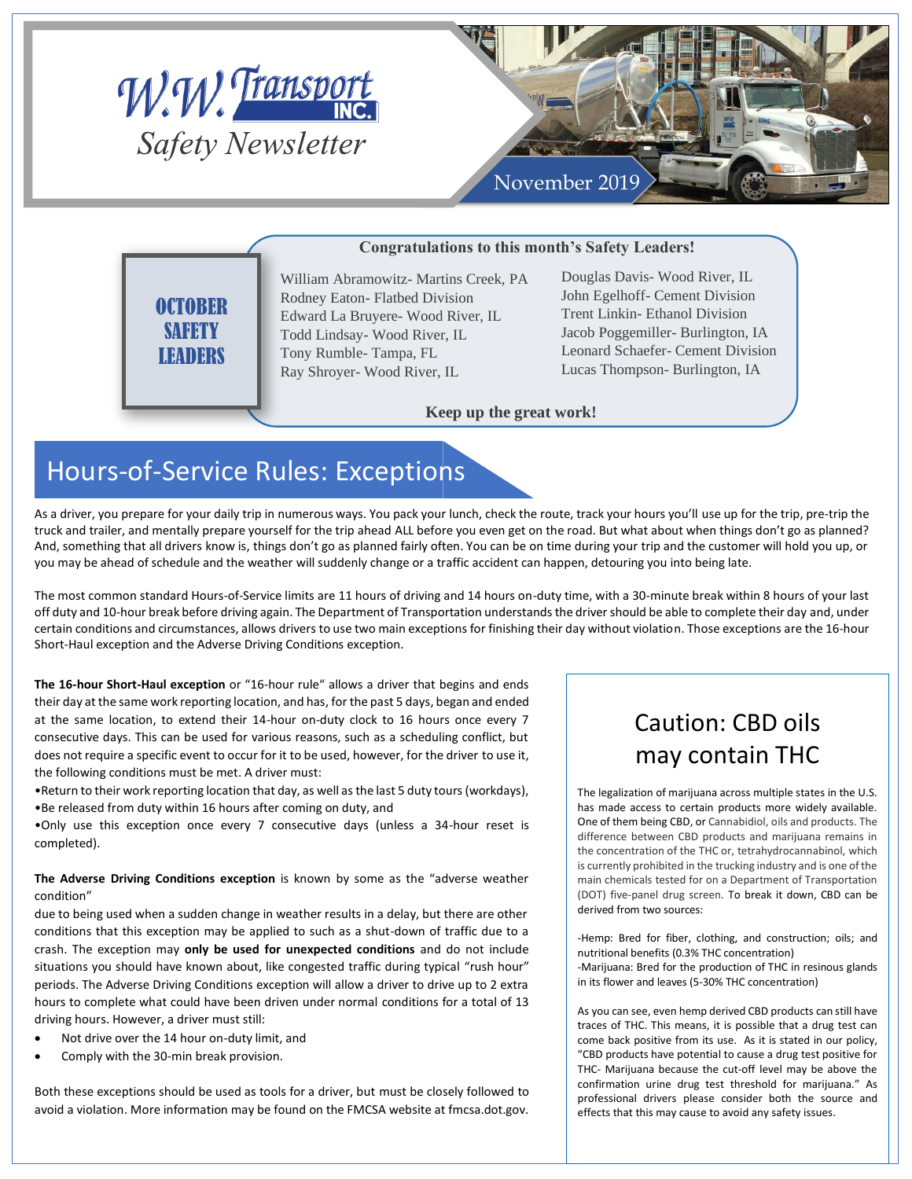

## **Congratulations to this month's Safety Leaders!**

**OCTOBER SAFETY LEADERS** 

William Abramowitz- Martins Creek, PA Rodney Eaton- Flatbed Division Edward La Bruyere- Wood River, IL Todd Lindsay- Wood River, IL Tony Rumble- Tampa, FL Ray Shroyer- Wood River, IL

Douglas Davis- Wood River, IL John Egelhoff- Cement Division Trent Linkin- Ethanol Division Jacob Poggemiller- Burlington, IA Leonard Schaefer- Cement Division Lucas Thompson- Burlington, IA

**Keep up the great work!**

# Hours-of-Service Rules: Exceptions

As a driver, you prepare for your daily trip in numerous ways. You pack your lunch, check the route, track your hours you'll use up for the trip, pre-trip the truck and trailer, and mentally prepare yourself for the trip ahead ALL before you even get on the road. But what about when things don't go as planned? And, something that all drivers know is, things don't go as planned fairly often. You can be on time during your trip and the customer will hold you up, or you may be ahead of schedule and the weather will suddenly change or a traffic accident can happen, detouring you into being late.

The most common standard Hours-of-Service limits are 11 hours of driving and 14 hours on-duty time, with a 30-minute break within 8 hours of your last off duty and 10-hour break before driving again. The Department of Transportation understands the driver should be able to complete their day and, under certain conditions and circumstances, allows drivers to use two main exceptions for finishing their day without violation. Those exceptions are the 16-hour Short-Haul exception and the Adverse Driving Conditions exception.

**The 16-hour Short-Haul exception** or "16-hour rule" allows a driver that begins and ends their day at the same work reporting location, and has, for the past 5 days, began and ended at the same location, to extend their 14-hour on-duty clock to 16 hours once every 7 consecutive days. This can be used for various reasons, such as a scheduling conflict, but does not require a specific event to occur for it to be used, however, for the driver to use it, the following conditions must be met. A driver must:

•Return to their work reporting location that day, as well as the last 5 duty tours (workdays), •Be released from duty within 16 hours after coming on duty, and

•Only use this exception once every 7 consecutive days (unless a 34-hour reset is completed).

### **The Adverse Driving Conditions exception** is known by some as the "adverse weather condition"

due to being used when a sudden change in weather results in a delay, but there are other conditions that this exception may be applied to such as a shut-down of traffic due to a crash. The exception may **only be used for unexpected conditions** and do not include situations you should have known about, like congested traffic during typical "rush hour" periods. The Adverse Driving Conditions exception will allow a driver to drive up to 2 extra hours to complete what could have been driven under normal conditions for a total of 13 driving hours. However, a driver must still:

- Not drive over the 14 hour on-duty limit, and
- Comply with the 30-min break provision.

Both these exceptions should be used as tools for a driver, but must be closely followed to avoid a violation. More information may be found on the FMCSA website at fmcsa.dot.gov.

## Caution: CBD oils may contain THC

The legalization of marijuana across multiple states in the U.S. has made access to certain products more widely available. One of them being CBD, or Cannabidiol, oils and products. The difference between CBD products and marijuana remains in the concentration of the THC or, tetrahydrocannabinol, which is currently prohibited in the trucking industry and is one of the main chemicals tested for on a Department of Transportation (DOT) five-panel drug screen. To break it down, CBD can be derived from two sources:

-Hemp: Bred for fiber, clothing, and construction; oils; and nutritional benefits (0.3% THC concentration) -Marijuana: Bred for the production of THC in resinous glands in its flower and leaves (5-30% THC concentration)

As you can see, even hemp derived CBD products can still have traces of THC. This means, it is possible that a drug test can come back positive from its use. As it is stated in our policy, "CBD products have potential to cause a drug test positive for THC- Marijuana because the cut-off level may be above the confirmation urine drug test threshold for marijuana." As professional drivers please consider both the source and effects that this may cause to avoid any safety issues.